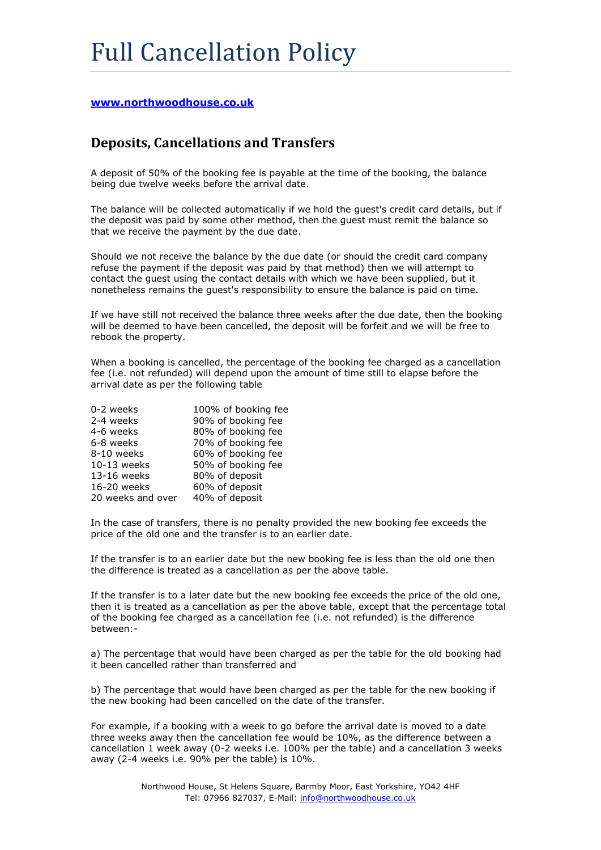## **[www.northwoodhouse.co.uk](http://www.northwoodhouse.co.uk/)**

## **Deposits, Cancellations and Transfers**

A deposit of 50% of the booking fee is payable at the time of the booking, the balance being due twelve weeks before the arrival date.

The balance will be collected automatically if we hold the guest's credit card details, but if the deposit was paid by some other method, then the guest must remit the balance so that we receive the payment by the due date.

Should we not receive the balance by the due date (or should the credit card company refuse the payment if the deposit was paid by that method) then we will attempt to contact the guest using the contact details with which we have been supplied, but it nonetheless remains the guest's responsibility to ensure the balance is paid on time.

If we have still not received the balance three weeks after the due date, then the booking will be deemed to have been cancelled, the deposit will be forfeit and we will be free to rebook the property.

When a booking is cancelled, the percentage of the booking fee charged as a cancellation fee (i.e. not refunded) will depend upon the amount of time still to elapse before the arrival date as per the following table

| 0-2 weeks         | 100% of booking fee |
|-------------------|---------------------|
| 2-4 weeks         | 90% of booking fee  |
| 4-6 weeks         | 80% of booking fee  |
| 6-8 weeks         | 70% of booking fee  |
| 8-10 weeks        | 60% of booking fee  |
| $10-13$ weeks     | 50% of booking fee  |
| 13-16 weeks       | 80% of deposit      |
| 16-20 weeks       | 60% of deposit      |
| 20 weeks and over | 40% of deposit      |

In the case of transfers, there is no penalty provided the new booking fee exceeds the price of the old one and the transfer is to an earlier date.

If the transfer is to an earlier date but the new booking fee is less than the old one then the difference is treated as a cancellation as per the above table.

If the transfer is to a later date but the new booking fee exceeds the price of the old one, then it is treated as a cancellation as per the above table, except that the percentage total of the booking fee charged as a cancellation fee (i.e. not refunded) is the difference between:-

a) The percentage that would have been charged as per the table for the old booking had it been cancelled rather than transferred and

b) The percentage that would have been charged as per the table for the new booking if the new booking had been cancelled on the date of the transfer.

For example, if a booking with a week to go before the arrival date is moved to a date three weeks away then the cancellation fee would be 10%, as the difference between a cancellation 1 week away (0-2 weeks i.e. 100% per the table) and a cancellation 3 weeks away (2-4 weeks i.e. 90% per the table) is 10%.